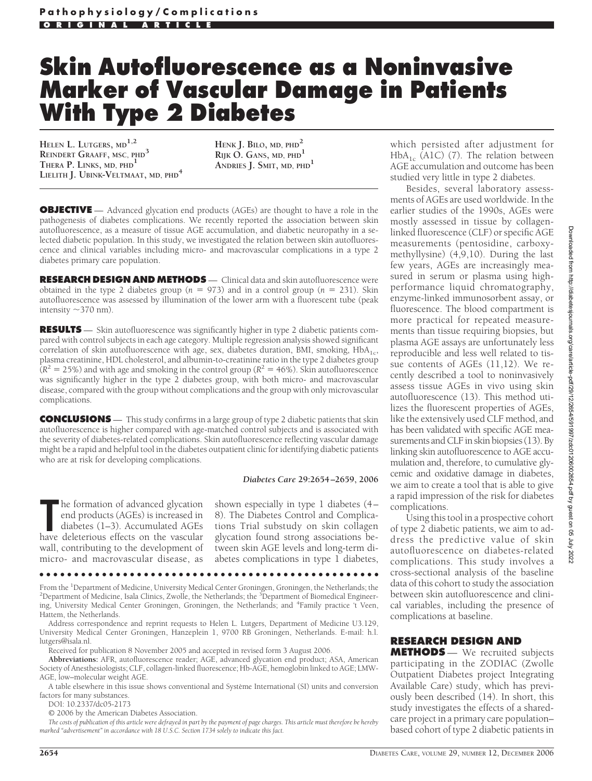# **Skin Autofluorescence as a Noninvasive Marker of Vascular Damage in Patients With Type 2 Diabetes**

**HELEN L. LUTGERS, MD1,2 REINDERT GRAAFF, MSC, PHD<sup>3</sup> THERA P. LINKS, MD, PHD1 LIELITH J. UBINK-VELTMAAT, MD, PHD<sup>4</sup>**

**HENK J. BILO, MD, PHD<sup>2</sup> RIJK O. GANS, MD, PHD1 ANDRIES J. SMIT, MD, PHD<sup>1</sup>**

**OBJECTIVE** — Advanced glycation end products (AGEs) are thought to have a role in the pathogenesis of diabetes complications. We recently reported the association between skin autofluorescence, as a measure of tissue AGE accumulation, and diabetic neuropathy in a selected diabetic population. In this study, we investigated the relation between skin autofluorescence and clinical variables including micro- and macrovascular complications in a type 2 diabetes primary care population.

**RESEARCH DESIGN AND METHODS** — Clinical data and skin autofluorescence were obtained in the type 2 diabetes group  $(n = 973)$  and in a control group  $(n = 231)$ . Skin autofluorescence was assessed by illumination of the lower arm with a fluorescent tube (peak intensity  $\sim$  370 nm).

**RESULTS** — Skin autofluorescence was significantly higher in type 2 diabetic patients compared with control subjects in each age category. Multiple regression analysis showed significant correlation of skin autofluorescence with age, sex, diabetes duration, BMI, smoking,  $HbA_{1c}$ , plasma creatinine, HDL cholesterol, and albumin-to-creatinine ratio in the type 2 diabetes group  $(R^2 = 25\%)$  and with age and smoking in the control group ( $R^2 = 46\%$ ). Skin autofluorescence was significantly higher in the type 2 diabetes group, with both micro- and macrovascular disease, compared with the group without complications and the group with only microvascular complications.

**CONCLUSIONS** — This study confirms in a large group of type 2 diabetic patients that skin autofluorescence is higher compared with age-matched control subjects and is associated with the severity of diabetes-related complications. Skin autofluorescence reflecting vascular damage might be a rapid and helpful tool in the diabetes outpatient clinic for identifying diabetic patients who are at risk for developing complications.

#### *Diabetes Care* **29:2654–2659, 2006**

**The formation of advanced glycation**<br>
end products (AGEs) is increased in<br>
diabetes (1–3). Accumulated AGEs<br>
have deleterious effects on the vascular he formation of advanced glycation end products (AGEs) is increased in diabetes (1–3). Accumulated AGEs wall, contributing to the development of micro- and macrovascular disease, as

shown especially in type 1 diabetes (4– 8). The Diabetes Control and Complications Trial substudy on skin collagen glycation found strong associations between skin AGE levels and long-term diabetes complications in type 1 diabetes,

From the <sup>1</sup>Department of Medicine, University Medical Center Groningen, Groningen, the Netherlands; the <sup>2</sup>Department of Nedicine, Isab Clinics, Zwolle, the Netherlands; the <sup>2</sup>Department of Biomedical Engineer. Department of Medicine, Isala Clinics, Zwolle, the Netherlands; the <sup>3</sup>Department of Biomedical Engineering, University Medical Center Groningen, Groningen, the Netherlands; and <sup>4</sup> Family practice 't Veen, Hattem, the Netherlands.

●●●●●●●●●●●●●●●●●●●●●●●●●●●●●●●●●●●●●●●●●●●●●●●●●

Address correspondence and reprint requests to Helen L. Lutgers, Department of Medicine U3.129, University Medical Center Groningen, Hanzeplein 1, 9700 RB Groningen, Netherlands. E-mail: h.l. lutgers@isala.nl.

Received for publication 8 November 2005 and accepted in revised form 3 August 2006.

**Abbreviations:** AFR, autofluorescence reader; AGE, advanced glycation end product; ASA, American Society of Anesthesiologists; CLF, collagen-linked fluorescence; Hb-AGE, hemoglobin linked to AGE; LMW-AGE, low–molecular weight AGE.

A table elsewhere in this issue shows conventional and Système International (SI) units and conversion factors for many substances.

DOI: 10.2337/dc05-2173

© 2006 by the American Diabetes Association.

*The costs of publication of this article were defrayed in part by the payment of page charges. This article must therefore be hereby marked "advertisement" in accordance with 18 U.S.C. Section 1734 solely to indicate this fact.*

which persisted after adjustment for  $HbA_{1c}$  (A1C) (7). The relation between AGE accumulation and outcome has been studied very little in type 2 diabetes.

Besides, several laboratory assessments of AGEs are used worldwide. In the earlier studies of the 1990s, AGEs were mostly assessed in tissue by collagenlinked fluorescence (CLF) or specific AGE measurements (pentosidine, carboxymethyllysine) (4,9,10). During the last few years, AGEs are increasingly measured in serum or plasma using highperformance liquid chromatography, enzyme-linked immunosorbent assay, or fluorescence. The blood compartment is more practical for repeated measurements than tissue requiring biopsies, but plasma AGE assays are unfortunately less reproducible and less well related to tissue contents of AGEs (11,12). We recently described a tool to noninvasively assess tissue AGEs in vivo using skin autofluorescence (13). This method utilizes the fluorescent properties of AGEs, like the extensively used CLF method, and has been validated with specific AGE measurements and CLF in skin biopsies (13). By linking skin autofluorescence to AGE accumulation and, therefore, to cumulative glycemic and oxidative damage in diabetes, we aim to create a tool that is able to give a rapid impression of the risk for diabetes complications.

Using this tool in a prospective cohort of type 2 diabetic patients, we aim to address the predictive value of skin autofluorescence on diabetes-related complications. This study involves a cross-sectional analysis of the baseline data of this cohort to study the association between skin autofluorescence and clinical variables, including the presence of complications at baseline.

### **RESEARCH DESIGN AND**

**METHODS** — We recruited subjects participating in the ZODIAC (Zwolle Outpatient Diabetes project Integrating Available Care) study, which has previously been described (14). In short, this study investigates the effects of a sharedcare project in a primary care population– based cohort of type 2 diabetic patients in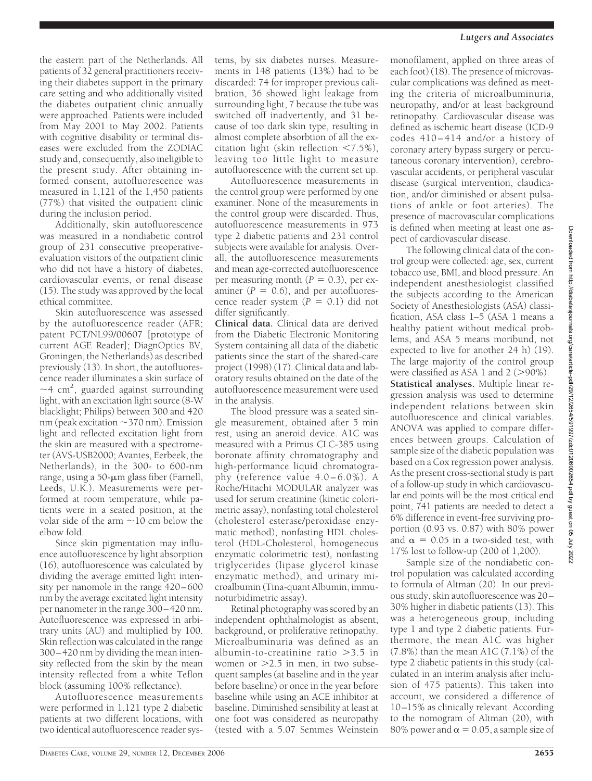the eastern part of the Netherlands. All patients of 32 general practitioners receiving their diabetes support in the primary care setting and who additionally visited the diabetes outpatient clinic annually were approached. Patients were included from May 2001 to May 2002. Patients with cognitive disability or terminal diseases were excluded from the ZODIAC study and, consequently, also ineligible to the present study. After obtaining informed consent, autofluorescence was measured in 1,121 of the 1,450 patients (77%) that visited the outpatient clinic during the inclusion period.

Additionally, skin autofluorescence was measured in a nondiabetic control group of 231 consecutive preoperativeevaluation visitors of the outpatient clinic who did not have a history of diabetes, cardiovascular events, or renal disease (15). The study was approved by the local ethical committee.

Skin autofluorescence was assessed by the autofluorescence reader (AFR; patent PCT/NL99/00607 [prototype of current AGE Reader]; DiagnOptics BV, Groningen, the Netherlands) as described previously (13). In short, the autofluorescence reader illuminates a skin surface of  $\sim$ 4 cm<sup>2</sup>, guarded against surrounding light, with an excitation light source (8-W blacklight; Philips) between 300 and 420 nm (peak excitation ~370 nm). Emission light and reflected excitation light from the skin are measured with a spectrometer (AVS-USB2000; Avantes, Eerbeek, the Netherlands), in the 300- to 600-nm range, using a  $50$ - $\mu$ m glass fiber (Farnell, Leeds, U.K.). Measurements were performed at room temperature, while patients were in a seated position, at the volar side of the arm  $\sim$  10 cm below the elbow fold.

Since skin pigmentation may influence autofluorescence by light absorption (16), autofluorescence was calculated by dividing the average emitted light intensity per nanomole in the range 420–600 nm by the average excitated light intensity per nanometer in the range 300–420 nm. Autofluorescence was expressed in arbitrary units (AU) and multiplied by 100. Skin reflection was calculated in the range 300–420 nm by dividing the mean intensity reflected from the skin by the mean intensity reflected from a white Teflon block (assuming 100% reflectance).

Autofluorescence measurements were performed in 1,121 type 2 diabetic patients at two different locations, with two identical autofluorescence reader systems, by six diabetes nurses. Measurements in 148 patients (13%) had to be discarded: 74 for improper previous calibration, 36 showed light leakage from surrounding light, 7 because the tube was switched off inadvertently, and 31 because of too dark skin type, resulting in almost complete absorbtion of all the excitation light (skin reflection  $\langle 7.5\% \rangle$ , leaving too little light to measure autofluorescence with the current set up.

Autofluorescence measurements in the control group were performed by one examiner. None of the measurements in the control group were discarded. Thus, autofluorescence measurements in 973 type 2 diabetic patients and 231 control subjects were available for analysis. Overall, the autofluorescence measurements and mean age-corrected autofluorescence per measuring month  $(P = 0.3)$ , per examiner  $(P = 0.6)$ , and per autofluorescence reader system  $(P = 0.1)$  did not differ significantly.

**Clinical data.** Clinical data are derived from the Diabetic Electronic Monitoring System containing all data of the diabetic patients since the start of the shared-care project (1998) (17). Clinical data and laboratory results obtained on the date of the autofluorescence measurement were used in the analysis.

The blood pressure was a seated single measurement, obtained after 5 min rest, using an aneroid device. A1C was measured with a Primus CLC-385 using boronate affinity chromatography and high-performance liquid chromatography (reference value 4.0–6.0%). A Roche/Hitachi MODULAR analyzer was used for serum creatinine (kinetic colorimetric assay), nonfasting total cholesterol (cholesterol esterase/peroxidase enzymatic method), nonfasting HDL cholesterol (HDL-Cholesterol, homogeneous enzymatic colorimetric test), nonfasting triglycerides (lipase glycerol kinase enzymatic method), and urinary microalbumin (Tina-quant Albumin, immunoturbidimetric assay).

Retinal photography was scored by an independent ophthalmologist as absent, background, or proliferative retinopathy. Microalbuminuria was defined as an albumin-to-creatinine ratio  $>3.5$  in women or  $>2.5$  in men, in two subsequent samples (at baseline and in the year before baseline) or once in the year before baseline while using an ACE inhibitor at baseline. Diminished sensibility at least at one foot was considered as neuropathy (tested with a 5.07 Semmes Weinstein

monofilament, applied on three areas of each foot) (18). The presence of microvascular complications was defined as meeting the criteria of microalbuminuria, neuropathy, and/or at least background retinopathy. Cardiovascular disease was defined as ischemic heart disease (ICD-9 codes 410–414 and/or a history of coronary artery bypass surgery or percutaneous coronary intervention), cerebrovascular accidents, or peripheral vascular disease (surgical intervention, claudication, and/or diminished or absent pulsations of ankle or foot arteries). The presence of macrovascular complications is defined when meeting at least one aspect of cardiovascular disease.

The following clinical data of the control group were collected: age, sex, current tobacco use, BMI, and blood pressure. An independent anesthesiologist classified the subjects according to the American Society of Anesthesiologists (ASA) classification, ASA class 1–5 (ASA 1 means a healthy patient without medical problems, and ASA 5 means moribund, not expected to live for another 24 h) (19). The large majority of the control group were classified as ASA 1 and  $2$  ( $>90\%$ ). **Statistical analyses.** Multiple linear regression analysis was used to determine independent relations between skin autofluorescence and clinical variables. ANOVA was applied to compare differences between groups. Calculation of sample size of the diabetic population was based on a Cox regression power analysis. As the present cross-sectional study is part of a follow-up study in which cardiovascular end points will be the most critical end point, 741 patients are needed to detect a 6% difference in event-free surviving proportion (0.93 vs. 0.87) with 80% power and  $\alpha = 0.05$  in a two-sided test, with 17% lost to follow-up (200 of 1,200).

Sample size of the nondiabetic control population was calculated according to formula of Altman (20). In our previous study, skin autofluorescence was 20– 30% higher in diabetic patients (13). This was a heterogeneous group, including type 1 and type 2 diabetic patients. Furthermore, the mean A1C was higher (7.8%) than the mean A1C (7.1%) of the type 2 diabetic patients in this study (calculated in an interim analysis after inclusion of 475 patients). This taken into account, we considered a difference of 10–15% as clinically relevant. According to the nomogram of Altman (20), with 80% power and  $\alpha$  = 0.05, a sample size of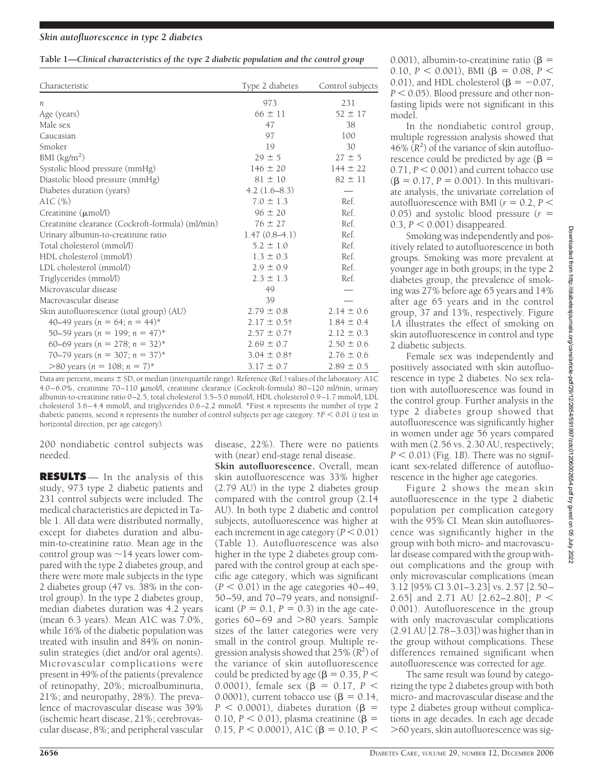| Table 1-Clinical characteristics of the type 2 diabetic population and the control group |  |  |
|------------------------------------------------------------------------------------------|--|--|

| Characteristic                                   | Type 2 diabetes  | Control subjects |
|--------------------------------------------------|------------------|------------------|
| n                                                | 973              | 231              |
| Age (years)                                      | $66 \pm 11$      | $52 \pm 17$      |
| Male sex                                         | 47               | 38               |
| Caucasian                                        | 97               | 100              |
| Smoker                                           | 19               | 30               |
| BMI $\frac{\text{kg}}{\text{m}^2}$               | $29 \pm 5$       | $27 \pm 5$       |
| Systolic blood pressure (mmHg)                   | $146 \pm 20$     | $144 \pm 22$     |
| Diastolic blood pressure (mmHg)                  | $81 \pm 10$      | $82 \pm 11$      |
| Diabetes duration (years)                        | $4.2(1.6-8.3)$   |                  |
| AlC $(\%)$                                       | $7.0 \pm 1.3$    | Ref.             |
| Creatinine $(\mu \text{mol/l})$                  | $96 \pm 20$      | Ref.             |
| Creatinine clearance (Cockroft-formula) (ml/min) | $76 \pm 27$      | Ref.             |
| Urinary albumin-to-creatinine ratio              | $1.47(0.8-4.1)$  | Ref.             |
| Total cholesterol (mmol/l)                       | $5.2 \pm 1.0$    | Ref.             |
| HDL cholesterol (mmol/l)                         | $1.3 \pm 0.3$    | Ref.             |
| LDL cholesterol (mmol/l)                         | $2.9 \pm 0.9$    | Ref.             |
| Triglycerides (mmol/l)                           | $2.3 \pm 1.3$    | Ref.             |
| Microvascular disease                            | 49               |                  |
| Macrovascular disease                            | 39               |                  |
| Skin autofluorescence (total group) (AU)         | $2.79 \pm 0.8$   | $2.14 \pm 0.6$   |
| 40–49 years ( $n = 64$ ; $n = 44$ )*             | $2.17 \pm 0.5$ † | $1.84 \pm 0.4$   |
| 50–59 years ( $n = 199$ ; $n = 47$ )*            | $2.57 \pm 0.7$ † | $2.12 \pm 0.3$   |
| 60–69 years ( $n = 278$ ; $n = 32$ )*            | $2.69 \pm 0.7$   | $2.50 \pm 0.6$   |
| 70–79 years ( $n = 307$ ; $n = 37$ )*            | $3.04 \pm 0.8$ † | $2.76 \pm 0.6$   |
| $>80$ years (n = 108; n = 7)*                    | $3.17 \pm 0.7$   | $2.89 \pm 0.5$   |

Data are percent, means  $\pm$  SD, or median (interquartile range). Reference (Ref.) values of the laboratory: A1C 4.0–6.0%, creatinine 70–110 mol/l, creatinine clearance (Cockroft-formula) 80–120 ml/min, urinary albumin-to-creatinine ratio 0–2.5, total cholesterol 3.5–5.0 mmol/l, HDL cholesterol 0.9–1.7 mmol/l, LDL cholesterol 3.6–4.4 mmol/l, and triglycerides 0.6–2.2 mmol/l. \*First *n* represents the number of type 2 diabetic patients, second *n* represents the number of control subjects per age category. †*P* 0.01 (*t* test in horizontal direction, per age category).

200 nondiabetic control subjects was needed.

**RESULTS** — In the analysis of this study, 973 type 2 diabetic patients and 231 control subjects were included. The medical characteristics are depicted in Table 1. All data were distributed normally, except for diabetes duration and albumin-to-creatinine ratio. Mean age in the control group was  $\sim$  14 years lower compared with the type 2 diabetes group, and there were more male subjects in the type 2 diabetes group (47 vs. 38% in the control group). In the type 2 diabetes group, median diabetes duration was 4.2 years (mean 6.3 years). Mean A1C was 7.0%, while 16% of the diabetic population was treated with insulin and 84% on noninsulin strategies (diet and/or oral agents). Microvascular complications were present in 49% of the patients (prevalence of retinopathy, 20%; microalbuminuria, 21%; and neuropathy, 28%). The prevalence of macrovascular disease was 39% (ischemic heart disease, 21%; cerebrovascular disease, 8%; and peripheral vascular

disease, 22%). There were no patients with (near) end-stage renal disease.

**Skin autofluorescence.** Overall, mean skin autofluorescence was 33% higher (2.79 AU) in the type 2 diabetes group compared with the control group (2.14 AU). In both type 2 diabetic and control subjects, autofluorescence was higher at each increment in age category ( $P < 0.01$ ) (Table 1). Autofluorescence was also higher in the type 2 diabetes group compared with the control group at each specific age category, which was significant  $(P < 0.01)$  in the age categories  $40-49$ , 50–59, and 70–79 years, and nonsignificant  $(P = 0.1, P = 0.3)$  in the age categories  $60-69$  and  $>80$  years. Sample sizes of the latter categories were very small in the control group. Multiple regression analysis showed that 25% (*R*<sup>2</sup> ) of the variance of skin autofluorescence could be predicted by age ( $\beta$  = 0.35, *P* < 0.0001), female sex  $(\beta = 0.17, P <$ 0.0001), current tobacco use  $(\beta = 0.14,$  $P < 0.0001$ ), diabetes duration ( $\beta$  = 0.10,  $P < 0.01$ ), plasma creatinine ( $\beta =$ 0.15,  $P < 0.0001$ ), A1C ( $\beta = 0.10$ ,  $P <$ 

0.001), albumin-to-creatinine ratio ( $\beta$  = 0.10,  $P < 0.001$ ), BMI ( $\beta = 0.08$ ,  $P <$ 0.01), and HDL cholesterol ( $\beta = -0.07$ ,  $P < 0.05$ ). Blood pressure and other nonfasting lipids were not significant in this model.

In the nondiabetic control group, multiple regression analysis showed that  $46\%$   $(R^2)$  of the variance of skin autofluorescence could be predicted by age ( $\beta$  =  $0.71, P < 0.001$ ) and current tobacco use  $(\beta = 0.17, P = 0.001)$ . In this multivariate analysis, the univariate correlation of autofluorescence with BMI ( $r = 0.2$ ,  $P \leq$ 0.05) and systolic blood pressure (*r* 0.3,  $P < 0.001$ ) disappeared.

Smoking was independently and positively related to autofluorescence in both groups. Smoking was more prevalent at younger age in both groups; in the type 2 diabetes group, the prevalence of smoking was 27% before age 65 years and 14% after age 65 years and in the control group, 37 and 13%, respectively. Figure 1*A* illustrates the effect of smoking on skin autofluorescence in control and type 2 diabetic subjects.

Female sex was independently and positively associated with skin autofluorescence in type 2 diabetes. No sex relation with autofluorescence was found in the control group. Further analysis in the type 2 diabetes group showed that autofluorescence was significantly higher in women under age 56 years compared with men (2.56 vs. 2.30 AU, respectively;  $P < 0.01$ ) (Fig. 1*B*). There was no significant sex-related difference of autofluorescence in the higher age categories.

Figure 2 shows the mean skin autofluorescence in the type 2 diabetic population per complication category with the 95% CI. Mean skin autofluorescence was significantly higher in the group with both micro- and macrovascular disease compared with the group without complications and the group with only microvascular complications (mean 3.12 [95% CI 3.01–3.23] vs. 2.57 [2.50– 2.65] and 2.71 AU [2.62–2.80]; *P* 0.001). Autofluorescence in the group with only macrovascular complications (2.91 AU [2.78–3.03]) was higher than in the group without complications. These differences remained significant when autofluorescence was corrected for age.

The same result was found by categorizing the type 2 diabetes group with both micro- and macrovascular disease and the type 2 diabetes group without complications in age decades. In each age decade 60 years, skin autofluorescence was sig-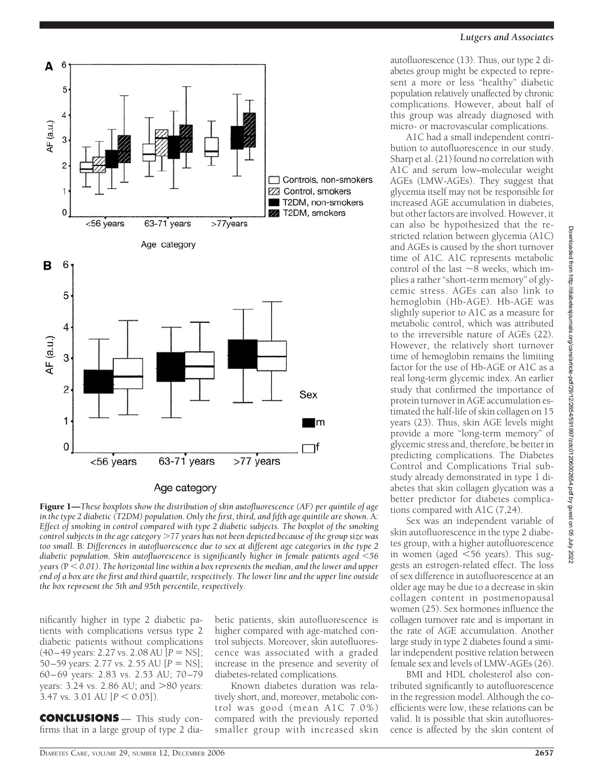

## Age category

Figure 1—*These boxplots show the distribution of skin autofluorescence (AF) per quintile of age in the type 2 diabetic (T2DM) population. Only the first, third, and fifth age quintile are shown.* A*: Effect of smoking in control compared with type 2 diabetic subjects. The boxplot of the smoking control subjects in the age category 77 years has not been depicted because of the group size was too small.* B*: Differences in autofluorescence due to sex at different age categories in the type 2 diabetic population. Skin autofluorescence is significantly higher in female patients aged 56 years (*P *0.01). The horizontal line within a box represents the median, and the lower and upper end of a box are the first and third quartile, respectively. The lower line and the upper line outside the box represent the 5th and 95th percentile, respectively.*

nificantly higher in type 2 diabetic patients with complications versus type 2 diabetic patients without complications  $(40-49 \text{ years: } 2.27 \text{ vs. } 2.08 \text{ AU } [P = \text{NS}];$ 50–59 years: 2.77 vs. 2.55 AU [ $P = NS$ ]; 60–69 years: 2.83 vs. 2.53 AU; 70–79 years:  $3.24$  vs.  $2.86$  AU; and  $>80$  years:  $3.47$  vs.  $3.01$  AU [ $P < 0.05$ ]).

**CONCLUSIONS** — This study confirms that in a large group of type 2 dia-

betic patients, skin autofluorescence is higher compared with age-matched control subjects. Moreover, skin autofluorescence was associated with a graded increase in the presence and severity of diabetes-related complications.

Known diabetes duration was relatively short, and, moreover, metabolic control was good (mean A1C 7.0%) compared with the previously reported smaller group with increased skin autofluorescence (13). Thus, our type 2 diabetes group might be expected to represent a more or less "healthy" diabetic population relatively unaffected by chronic complications. However, about half of this group was already diagnosed with micro- or macrovascular complications.

A1C had a small independent contribution to autofluorescence in our study. Sharp et al. (21) found no correlation with A1C and serum low–molecular weight AGEs (LMW-AGEs). They suggest that glycemia itself may not be responsible for increased AGE accumulation in diabetes, but other factors are involved. However, it can also be hypothesized that the restricted relation between glycemia (A1C) and AGEs is caused by the short turnover time of A1C. A1C represents metabolic control of the last  $\sim$ 8 weeks, which implies a rather "short-term memory" of glycemic stress. AGEs can also link to hemoglobin (Hb-AGE). Hb-AGE was slightly superior to A1C as a measure for metabolic control, which was attributed to the irreversible nature of AGEs (22). However, the relatively short turnover time of hemoglobin remains the limiting factor for the use of Hb-AGE or A1C as a real long-term glycemic index. An earlier study that confirmed the importance of protein turnover in AGE accumulation estimated the half-life of skin collagen on 15 years (23). Thus, skin AGE levels might provide a more "long-term memory" of glycemic stress and, therefore, be better in predicting complications. The Diabetes Control and Complications Trial substudy already demonstrated in type 1 diabetes that skin collagen glycation was a better predictor for diabetes complications compared with A1C (7,24).

Sex was an independent variable of skin autofluorescence in the type 2 diabetes group, with a higher autofluorescence in women (aged  $\leq 56$  years). This suggests an estrogen-related effect. The loss of sex difference in autofluorescence at an older age may be due to a decrease in skin collagen content in postmenopausal women (25). Sex hormones influence the collagen turnover rate and is important in the rate of AGE accumulation. Another large study in type 2 diabetes found a similar independent positive relation between female sex and levels of LMW-AGEs (26).

BMI and HDL cholesterol also contributed significantly to autofluorescence in the regression model. Although the coefficients were low, these relations can be valid. It is possible that skin autofluorescence is affected by the skin content of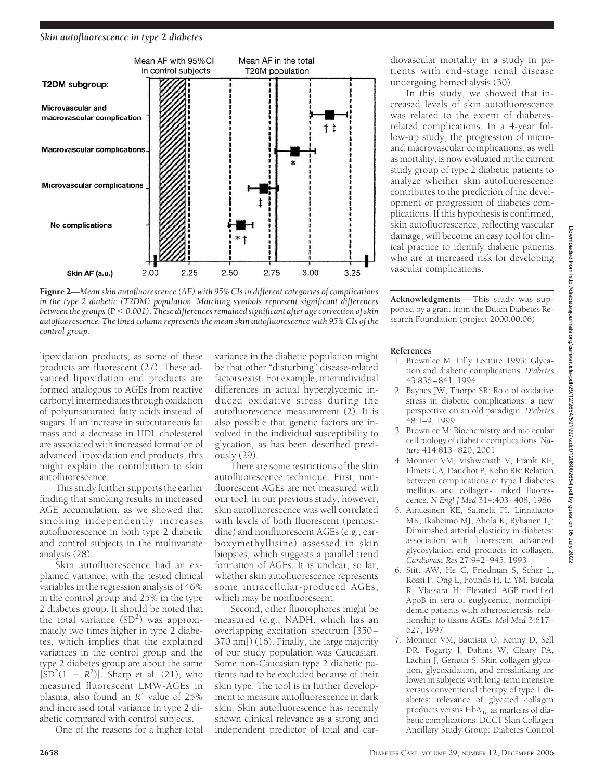

Figure 2—*Mean skin autofluorescence (AF) with 95% CIs in different categories of complications in the type 2 diabetic (T2DM) population. Matching symbols represent significant differences between the groups (*P *0.001). These differences remained significant after age correction of skin autofluorescence. The lined column represents the mean skin autofluorescence with 95% CIs of the control group.*

lipoxidation products, as some of these products are fluorescent (27). These advanced lipoxidation end products are formed analogous to AGEs from reactive carbonyl intermediates through oxidation of polyunsaturated fatty acids instead of sugars. If an increase in subcutaneous fat mass and a decrease in HDL cholesterol are associated with increased formation of advanced lipoxidation end products, this might explain the contribution to skin autofluorescence.

This study further supports the earlier finding that smoking results in increased AGE accumulation, as we showed that smoking independently increases autofluorescence in both type 2 diabetic and control subjects in the multivariate analysis (28).

Skin autofluorescence had an explained variance, with the tested clinical variables in the regression analysis of 46% in the control group and 25% in the type 2 diabetes group. It should be noted that the total variance  $(SD^2)$  was approximately two times higher in type  $2$  diabetes, which implies that the explained variances in the control group and the type 2 diabetes group are about the same  $[SD<sup>2</sup>(1 - R<sup>2</sup>)]$ . Sharp et al. (21), who measured fluorescent LMW-AGEs in plasma, also found an  $R^2$  value of 25% and increased total variance in type 2 diabetic compared with control subjects.

One of the reasons for a higher total

variance in the diabetic population might be that other "disturbing" disease-related factors exist. For example, interindividual differences in actual hyperglycemic induced oxidative stress during the autofluorescence measurement (2). It is also possible that genetic factors are involved in the individual susceptibility to glycation, as has been described previously (29).

There are some restrictions of the skin autofluorescence technique. First, nonfluorescent AGEs are not measured with our tool. In our previous study, however, skin autofluorescence was well correlated with levels of both fluorescent (pentosidine) and nonfluorescent AGEs (e.g., carboxymethyllisine) assessed in skin biopsies, which suggests a parallel trend formation of AGEs. It is unclear, so far, whether skin autofluorescence represents some intracellular-produced AGEs, which may be nonfluorescent.

Second, other fluorophores might be measured (e.g., NADH, which has an overlapping excitation spectrum [350–  $370 \text{ nm}$ ) (16). Finally, the large majority of our study population was Caucasian. Some non-Caucasian type 2 diabetic patients had to be excluded because of their skin type. The tool is in further development to measure autofluorescence in dark skin. Skin autofluorescence has recently shown clinical relevance as a strong and independent predictor of total and cardiovascular mortality in a study in patients with end-stage renal disease undergoing hemodialysis (30).

In this study, we showed that increased levels of skin autofluorescence was related to the extent of diabetesrelated complications. In a 4-year follow-up study, the progression of microand macrovascular complications, as well as mortality, is now evaluated in the current study group of type 2 diabetic patients to analyze whether skin autofluorescence contributes to the prediction of the development or progression of diabetes complications. If this hypothesis is confirmed, skin autofluorescence, reflecting vascular damage, will become an easy tool for clinical practice to identify diabetic patients who are at increased risk for developing vascular complications.

**Acknowledgments**— This study was supported by a grant from the Dutch Diabetes Research Foundation (project 2000.00.06)

#### **References**

- 1. Brownlee M: Lilly Lecture 1993: Glycation and diabetic complications. *Diabetes* 43:836–841, 1994
- 2. Baynes JW, Thorpe SR: Role of oxidative stress in diabetic complications: a new perspective on an old paradigm. *Diabetes* 48:1–9, 1999
- 3. Brownlee M: Biochemistry and molecular cell biology of diabetic complications.*Nature* 414:813–820, 2001
- 4. Monnier VM, Vishwanath V, Frank KE, Elmets CA, Dauchot P, Kohn RR: Relation between complications of type I diabetes mellitus and collagen- linked fluorescence. *N Engl J Med* 314:403–408, 1986
- 5. Airaksinen KE, Salmela PI, Linnaluoto MK, Ikaheimo MJ, Ahola K, Ryhanen LJ: Diminished arterial elasticity in diabetes: association with fluorescent advanced glycosylation end products in collagen. *Cardiovasc Res* 27:942–945, 1993
- 6. Stitt AW, He C, Friedman S, Scher L, Rossi P, Ong L, Founds H, Li YM, Bucala R, Vlassara H: Elevated AGE-modified ApoB in sera of euglycemic, normolipidemic patients with atherosclerosis: relationship to tissue AGEs. *Mol Med* 3:617– 627, 1997
- 7. Monnier VM, Bautista O, Kenny D, Sell DR, Fogarty J, Dahms W, Cleary PA, Lachin J, Genuth S: Skin collagen glycation, glycoxidation, and crosslinking are lower in subjects with long-term intensive versus conventional therapy of type 1 diabetes: relevance of glycated collagen products versus  $HbA_{1c}$  as markers of diabetic complications: DCCT Skin Collagen Ancillary Study Group: Diabetes Control